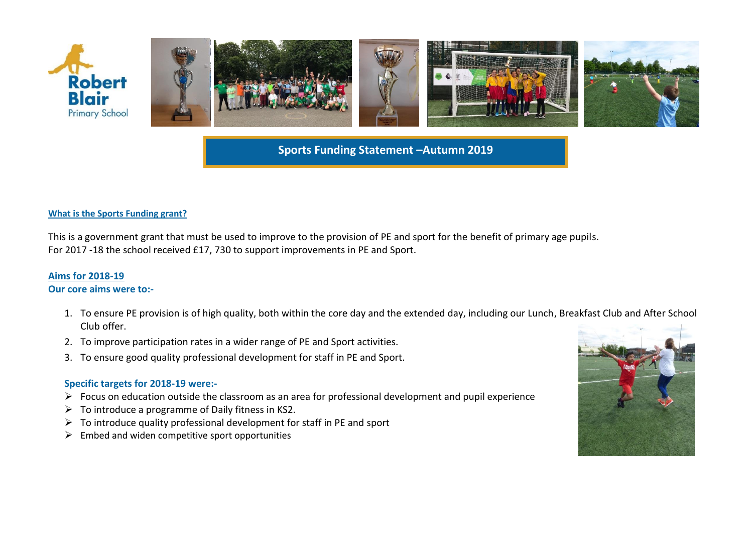



## **Sports Funding Statement –Autumn 2019**

#### **What is the Sports Funding grant?**

This is a government grant that must be used to improve to the provision of PE and sport for the benefit of primary age pupils. For 2017 -18 the school received £17, 730 to support improvements in PE and Sport.

#### **Aims for 2018-19 Our core aims were to:-**

- 1. To ensure PE provision is of high quality, both within the core day and the extended day, including our Lunch, Breakfast Club and After School Club offer.
- 2. To improve participation rates in a wider range of PE and Sport activities.
- 3. To ensure good quality professional development for staff in PE and Sport.

#### **Specific targets for 2018-19 were:-**

- $\triangleright$  Focus on education outside the classroom as an area for professional development and pupil experience
- $\triangleright$  To introduce a programme of Daily fitness in KS2.
- $\triangleright$  To introduce quality professional development for staff in PE and sport
- $\triangleright$  Embed and widen competitive sport opportunities

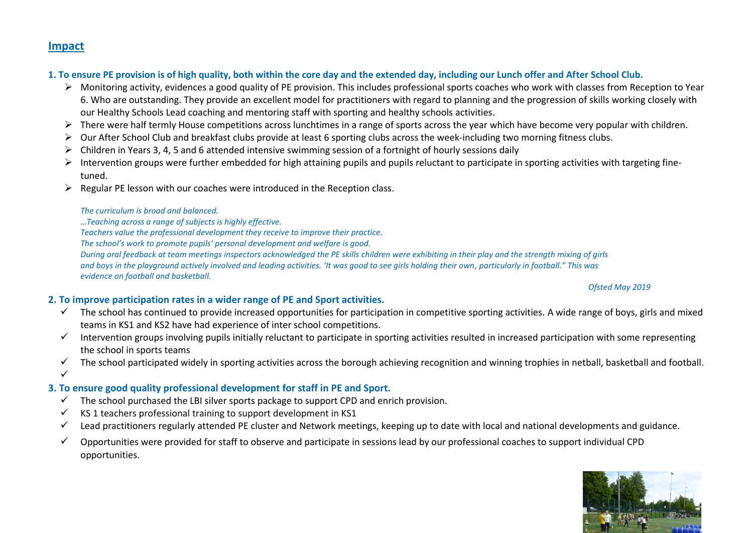## **Impact**

### **1. To ensure PE provision is of high quality, both within the core day and the extended day, including our Lunch offer and After School Club.**

- $\triangleright$  Monitoring activity, evidences a good quality of PE provision. This includes professional sports coaches who work with classes from Reception to Year 6. Who are outstanding. They provide an excellent model for practitioners with regard to planning and the progression of skills working closely with our Healthy Schools Lead coaching and mentoring staff with sporting and healthy schools activities.
- $\triangleright$  There were half termly House competitions across lunchtimes in a range of sports across the year which have become very popular with children.
- $\triangleright$  Our After School Club and breakfast clubs provide at least 6 sporting clubs across the week-including two morning fitness clubs.
- $\triangleright$  Children in Years 3, 4, 5 and 6 attended intensive swimming session of a fortnight of hourly sessions daily
- $\triangleright$  Intervention groups were further embedded for high attaining pupils and pupils reluctant to participate in sporting activities with targeting finetuned.
- $\triangleright$  Regular PE lesson with our coaches were introduced in the Reception class.

#### *The curriculum is broad and balanced.*

*…Teaching across a range of subjects is highly effective.*

*Teachers value the professional development they receive to improve their practice.*

*The school's work to promote pupils' personal development and welfare is good.*

*During oral feedback at team meetings inspectors acknowledged the PE skills children were exhibiting in their play and the strength mixing of girls and boys in the playground actively involved and leading activities. 'It was good to see girls holding their own, particularly in football." This was evidence on football and basketball.*

#### *Ofsted May 2019*

## **2. To improve participation rates in a wider range of PE and Sport activities.**

- $\checkmark$  The school has continued to provide increased opportunities for participation in competitive sporting activities. A wide range of boys, girls and mixed teams in KS1 and KS2 have had experience of inter school competitions.
- Intervention groups involving pupils initially reluctant to participate in sporting activities resulted in increased participation with some representing the school in sports teams
- $\checkmark$  The school participated widely in sporting activities across the borough achieving recognition and winning trophies in netball, basketball and football.  $\checkmark$

## **3. To ensure good quality professional development for staff in PE and Sport.**

- $\checkmark$  The school purchased the LBI silver sports package to support CPD and enrich provision.
- $\checkmark$  KS 1 teachers professional training to support development in KS1
- $\checkmark$  Lead practitioners regularly attended PE cluster and Network meetings, keeping up to date with local and national developments and guidance.
- $\checkmark$  Opportunities were provided for staff to observe and participate in sessions lead by our professional coaches to support individual CPD opportunities.

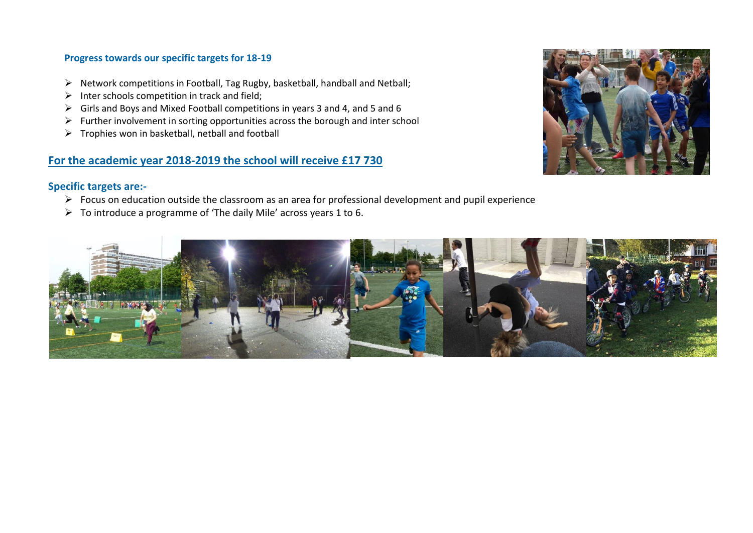#### **Progress towards our specific targets for 18-19**

- $\triangleright$  Network competitions in Football, Tag Rugby, basketball, handball and Netball;
- $\triangleright$  Inter schools competition in track and field;
- $\triangleright$  Girls and Boys and Mixed Football competitions in years 3 and 4, and 5 and 6
- $\triangleright$  Further involvement in sorting opportunities across the borough and inter school
- $\triangleright$  Trophies won in basketball, netball and football

## **For the academic year 2018-2019 the school will receive £17 730**

## **Specific targets are:-**

- $\triangleright$  Focus on education outside the classroom as an area for professional development and pupil experience
- $\triangleright$  To introduce a programme of 'The daily Mile' across years 1 to 6.